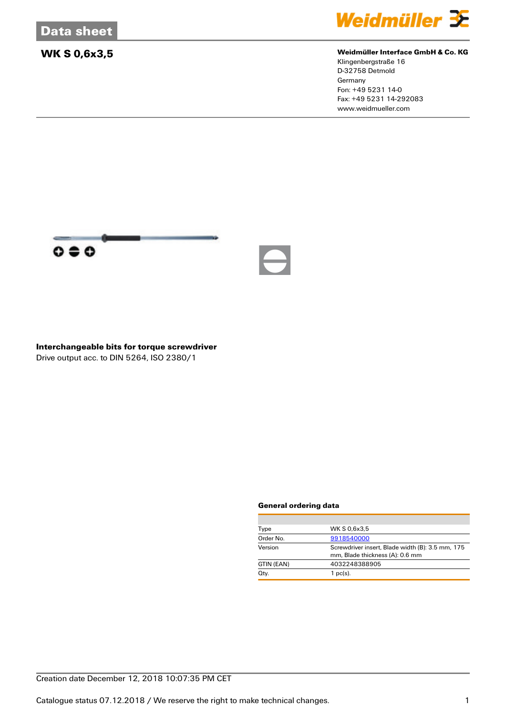

### **WK S 0,6x3,5 Weidmüller Interface GmbH & Co. KG**

Klingenbergstraße 16 D-32758 Detmold Germany Fon: +49 5231 14-0 Fax: +49 5231 14-292083 www.weidmueller.com



### **Interchangeable bits for torque screwdriver** Drive output acc. to DIN 5264, ISO 2380/1

#### **General ordering data**

| Type       | WK S 0.6x3.5                                                                        |  |
|------------|-------------------------------------------------------------------------------------|--|
| Order No.  | 9918540000                                                                          |  |
| Version    | Screwdriver insert, Blade width (B): 3.5 mm, 175<br>mm, Blade thickness (A): 0.6 mm |  |
| GTIN (EAN) | 4032248388905                                                                       |  |
| Qty.       | $1$ pc(s).                                                                          |  |